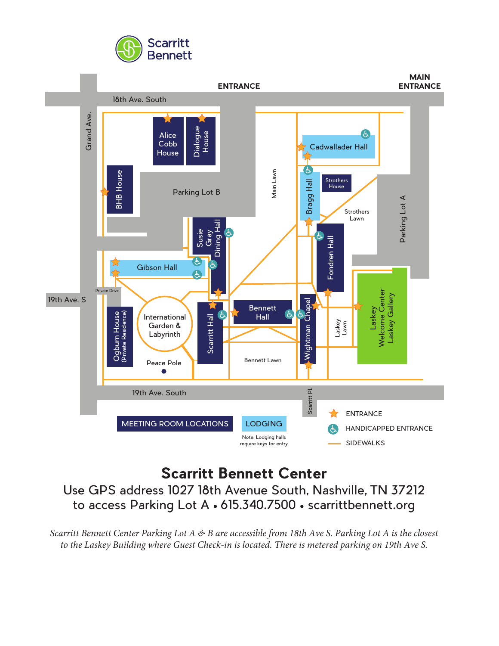



# **Scarritt Bennett Center**

Use GPS address 1027 18th Avenue South, Nashville, TN 37212 to access Parking Lot A • 615.340.7500 • scarrittbennett.org

*Scarritt Bennett Center Parking Lot A & B are accessible from 18th Ave S. Parking Lot A is the closest to the Laskey Building where Guest Check-in is located. There is metered parking on 19th Ave S.*